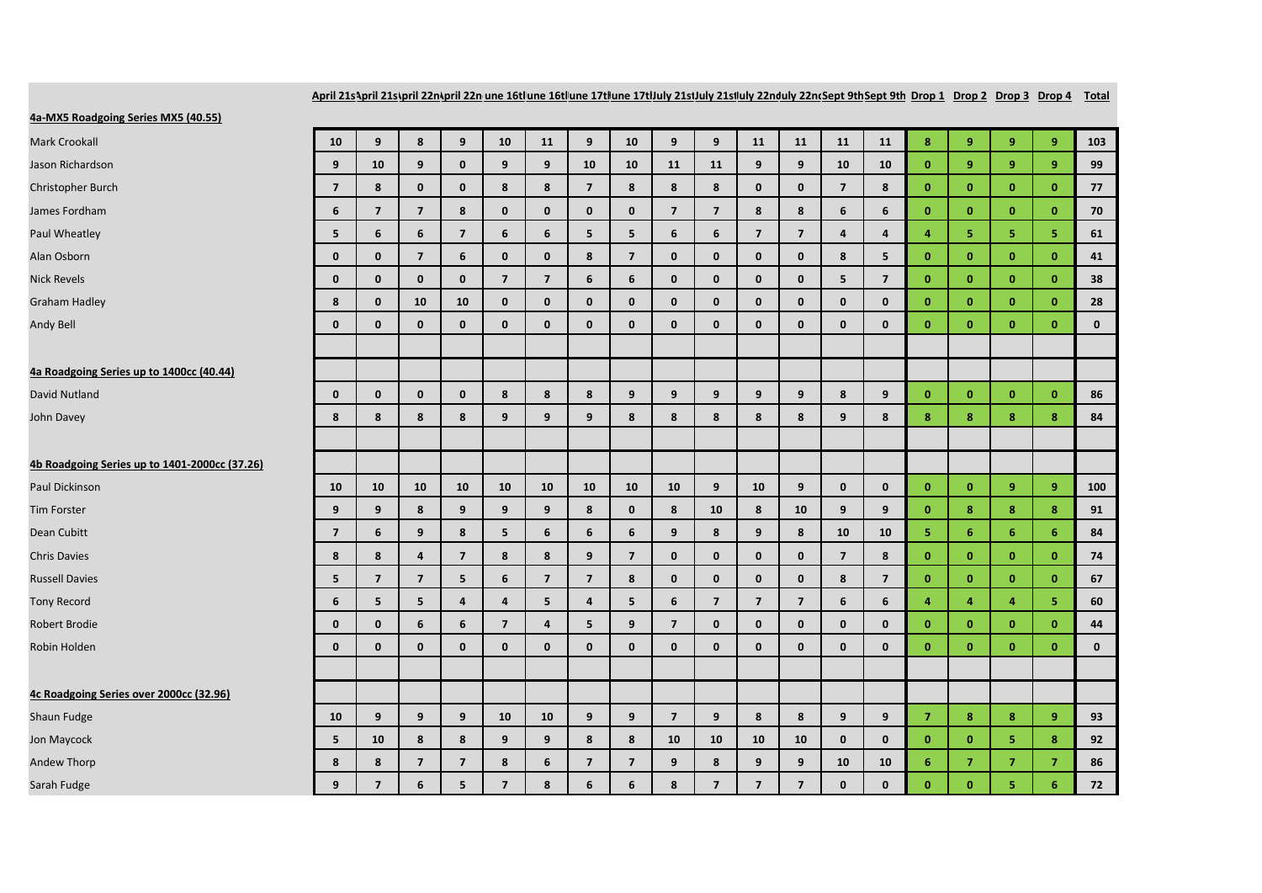April 21s\pril 21s\pril 22n\pril 22n une 16t|une 16t|une 17t|une 17t|July 21stJuly 21st|uly 22nd|uly 22ndSept 9th Sept 9th Drop 1 Prop 2 Drop 3 Drop 4 Total

## **4a-MX5 Roadgoing Series MX5 (40.55)**

| <u>48-MIX5 ROADBOING SEFIES MIX5 (40.55)</u>  |                         |                         |                |                |                         |                         |                         |                         |                |                |                         |                |                         |                |                |                |                |                |              |
|-----------------------------------------------|-------------------------|-------------------------|----------------|----------------|-------------------------|-------------------------|-------------------------|-------------------------|----------------|----------------|-------------------------|----------------|-------------------------|----------------|----------------|----------------|----------------|----------------|--------------|
| <b>Mark Crookall</b>                          | 10                      | 9                       | 8              | 9              | 10                      | 11                      | 9                       | 10                      | 9              | 9              | 11                      | 11             | 11                      | 11             | 8              | 9              | 9              | 9              | 103          |
| Jason Richardson                              | 9                       | 10                      | 9              | $\mathbf{0}$   | 9                       | 9                       | 10                      | 10                      | 11             | 11             | 9                       | 9              | 10                      | 10             | $\mathbf{0}$   | 9              | 9              | $\overline{9}$ | 99           |
| Christopher Burch                             | $\overline{7}$          | 8                       | $\mathbf 0$    | $\mathbf 0$    | 8                       | 8                       | $\overline{7}$          | 8                       | 8              | 8              | 0                       | $\mathbf 0$    | $\overline{\mathbf{z}}$ | 8              | $\mathbf{0}$   | $\mathbf{0}$   | $\mathbf{0}$   | $\bf{0}$       | 77           |
| James Fordham                                 | 6                       | $\overline{7}$          | $\overline{7}$ | 8              | $\mathbf{0}$            | $\mathbf{0}$            | $\mathbf 0$             | $\mathbf{0}$            | $\overline{7}$ | $\overline{7}$ | 8                       | 8              | 6                       | 6              | $\mathbf{0}$   | $\mathbf{0}$   | $\mathbf{0}$   | $\mathbf{0}$   | 70           |
| Paul Wheatley                                 | 5                       | 6                       | 6              | $\overline{7}$ | 6                       | 6                       | 5                       | 5                       | 6              | 6              | $\overline{7}$          | $\overline{7}$ | $\overline{4}$          | $\overline{a}$ | $\overline{a}$ | 5              | 5              | 5              | 61           |
| Alan Osborn                                   | $\mathbf 0$             | $\mathbf 0$             | $\overline{7}$ | 6              | $\mathbf{0}$            | $\mathbf 0$             | 8                       | $\overline{\mathbf{z}}$ | $\mathbf 0$    | $\mathbf 0$    | 0                       | $\mathbf 0$    | 8                       | 5              | $\mathbf{0}$   | $\mathbf{0}$   | $\mathbf{0}$   | $\bf{0}$       | 41           |
| <b>Nick Revels</b>                            | $\mathbf{0}$            | $\mathbf{0}$            | $\mathbf{0}$   | $\mathbf{0}$   | $\overline{\mathbf{z}}$ | $\overline{\mathbf{z}}$ | 6                       | 6                       | $\mathbf 0$    | $\mathbf{0}$   | $\mathbf{0}$            | $\mathbf{0}$   | 5                       | $\overline{7}$ | $\mathbf{0}$   | $\mathbf{0}$   | $\mathbf{0}$   | $\mathbf{0}$   | 38           |
| <b>Graham Hadley</b>                          | 8                       | $\mathbf 0$             | 10             | 10             | $\mathbf 0$             | $\mathbf 0$             | $\mathbf 0$             | $\mathbf 0$             | $\pmb{0}$      | $\mathbf 0$    | 0                       | $\mathbf 0$    | $\mathbf{0}$            | $\mathbf{0}$   | $\mathbf{0}$   | $\mathbf{0}$   | $\mathbf{0}$   | $\bf{0}$       | 28           |
| Andy Bell                                     | $\mathbf{0}$            | $\mathbf{0}$            | $\mathbf{0}$   | $\mathbf{0}$   | $\mathbf{0}$            | $\mathbf{0}$            | $\mathbf 0$             | $\mathbf{0}$            | $\mathbf 0$    | $\mathbf{0}$   | $\mathbf{0}$            | $\mathbf{0}$   | $\mathbf{0}$            | $\mathbf{0}$   | $\mathbf{0}$   | $\mathbf{0}$   | $\mathbf{0}$   | $\mathbf{0}$   | $\mathbf 0$  |
| 4a Roadgoing Series up to 1400cc (40.44)      |                         |                         |                |                |                         |                         |                         |                         |                |                |                         |                |                         |                |                |                |                |                |              |
| David Nutland                                 | $\mathbf{0}$            | $\mathbf 0$             | $\mathbf{0}$   | $\mathbf 0$    | 8                       | 8                       | 8                       | 9                       | 9              | 9              | 9                       | 9              | 8                       | 9              | $\mathbf{0}$   | $\mathbf{0}$   | $\mathbf{0}$   | $\mathbf{0}$   | 86           |
| John Davey                                    | 8                       | 8                       | 8              | 8              | 9                       | 9                       | 9                       | 8                       | 8              | 8              | 8                       | 8              | 9                       | 8              | 8              | 8              | 8              | 8              | 84           |
|                                               |                         |                         |                |                |                         |                         |                         |                         |                |                |                         |                |                         |                |                |                |                |                |              |
| 4b Roadgoing Series up to 1401-2000cc (37.26) |                         |                         |                |                |                         |                         |                         |                         |                |                |                         |                |                         |                |                |                |                |                |              |
| Paul Dickinson                                | 10                      | 10                      | 10             | 10             | 10                      | 10                      | 10                      | 10                      | 10             | 9              | 10                      | 9              | $\mathbf{0}$            | $\mathbf{0}$   | $\mathbf{0}$   | $\mathbf{0}$   | 9              | 9              | 100          |
| <b>Tim Forster</b>                            | 9                       | 9                       | 8              | 9              | 9                       | 9                       | 8                       | $\mathbf 0$             | 8              | 10             | 8                       | 10             | 9                       | 9              | $\mathbf{0}$   | 8              | 8              | $\bf8$         | 91           |
| Dean Cubitt                                   | $\overline{\mathbf{z}}$ | 6                       | 9              | 8              | 5                       | 6                       | 6                       | 6                       | 9              | 8              | 9                       | 8              | 10                      | 10             | 5              | 6              | 6              | 6              | 84           |
| <b>Chris Davies</b>                           | 8                       | 8                       | 4              | $\overline{7}$ | 8                       | 8                       | 9                       | $\overline{\mathbf{z}}$ | $\mathbf 0$    | $\mathbf 0$    | 0                       | $\mathbf 0$    | $\overline{\mathbf{z}}$ | 8              | $\mathbf{0}$   | $\mathbf{0}$   | $\mathbf{0}$   | $\bf{0}$       | 74           |
| <b>Russell Davies</b>                         | 5                       | $\overline{\mathbf{z}}$ | $\overline{7}$ | 5              | 6                       | $\overline{\mathbf{z}}$ | $\overline{\mathbf{z}}$ | 8                       | $\mathbf{0}$   | $\mathbf{0}$   | $\mathbf{0}$            | $\mathbf{0}$   | 8                       | $\overline{7}$ | $\mathbf{0}$   | $\mathbf{0}$   | $\mathbf{0}$   | $\mathbf{0}$   | 67           |
| <b>Tony Record</b>                            | 6                       | 5                       | 5              | $\overline{a}$ | $\overline{4}$          | 5                       | $\overline{\mathbf{4}}$ | 5                       | 6              | $\overline{7}$ | $\overline{\mathbf{z}}$ | $\overline{7}$ | 6                       | 6              | 4              | 4              | $\overline{4}$ | 5              | 60           |
| <b>Robert Brodie</b>                          | $\mathbf{0}$            | $\mathbf{0}$            | 6              | 6              | $\overline{7}$          | 4                       | 5                       | 9                       | $\overline{7}$ | $\mathbf{0}$   | $\mathbf{0}$            | $\mathbf{0}$   | $\mathbf{0}$            | $\mathbf{0}$   | $\mathbf{0}$   | $\mathbf{0}$   | $\mathbf{0}$   | $\mathbf{0}$   | 44           |
| Robin Holden                                  | $\mathbf{0}$            | $\mathbf{0}$            | $\mathbf{0}$   | $\mathbf{0}$   | $\mathbf{0}$            | $\mathbf{0}$            | $\mathbf{0}$            | $\mathbf{0}$            | $\mathbf{0}$   | $\mathbf{0}$   | $\mathbf{0}$            | $\mathbf{0}$   | $\mathbf{0}$            | $\mathbf{0}$   | $\mathbf{0}$   | $\mathbf{0}$   | $\mathbf{0}$   | $\mathbf{0}$   | $\mathbf{0}$ |
|                                               |                         |                         |                |                |                         |                         |                         |                         |                |                |                         |                |                         |                |                |                |                |                |              |
| 4c Roadgoing Series over 2000cc (32.96)       |                         |                         |                |                |                         |                         |                         |                         |                |                |                         |                |                         |                |                |                |                |                |              |
| Shaun Fudge                                   | 10                      | 9                       | 9              | 9              | 10                      | 10                      | 9                       | 9                       | $\overline{7}$ | 9              | 8                       | 8              | 9                       | 9              | $\overline{7}$ | 8              | 8              | 9              | 93           |
| Jon Maycock                                   | 5                       | 10                      | 8              | 8              | 9                       | 9                       | 8                       | 8                       | 10             | 10             | 10                      | 10             | $\mathbf{0}$            | $\mathbf{0}$   | $\mathbf{0}$   | $\mathbf{0}$   | 5              | 8              | 92           |
| Andew Thorp                                   | 8                       | 8                       | $\overline{7}$ | $\overline{7}$ | 8                       | 6                       | $\overline{7}$          | $\overline{\mathbf{z}}$ | 9              | 8              | 9                       | 9              | 10                      | 10             | 6              | $\overline{7}$ | $\overline{7}$ | $\overline{7}$ | 86           |
| Sarah Fudge                                   | 9                       | $\overline{7}$          | 6              | 5              | $\overline{7}$          | 8                       | 6                       | 6                       | 8              | $\overline{7}$ | $\overline{7}$          | $\overline{7}$ | $\mathbf{0}$            | $\mathbf{0}$   | $\mathbf{0}$   | $\mathbf{0}$   | 5              | 6              | 72           |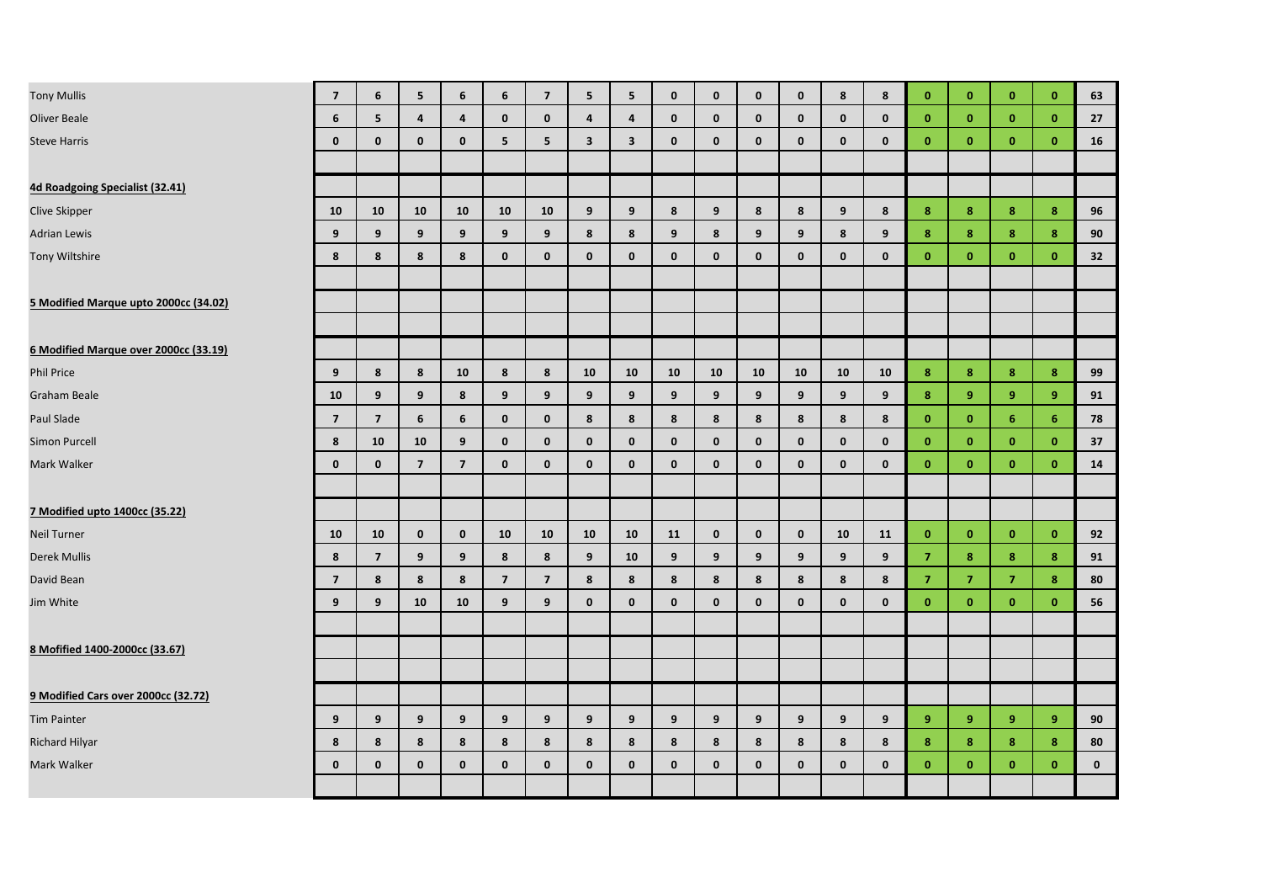| <b>Tony Mullis</b>                    | $\overline{7}$           | 6              | 5                       | 6                       | 6              | $\overline{7}$ | 5 <sup>1</sup>          | 5 <sup>1</sup>          | $\mathbf{0}$   | $\mathbf{0}$ | $\mathbf{0}$ | $\mathbf{0}$ | 8            | 8            | $\mathbf{0}$   | $\mathbf{0}$   | $\mathbf{0}$   | $\mathbf{0}$   | 63          |
|---------------------------------------|--------------------------|----------------|-------------------------|-------------------------|----------------|----------------|-------------------------|-------------------------|----------------|--------------|--------------|--------------|--------------|--------------|----------------|----------------|----------------|----------------|-------------|
| <b>Oliver Beale</b>                   | 6                        | 5              | $\overline{\mathbf{4}}$ | $\overline{4}$          | $\mathbf 0$    | $\mathbf 0$    | $\overline{\mathbf{4}}$ | $\overline{\mathbf{4}}$ | $\mathbf 0$    | $\mathbf{0}$ | $\mathbf 0$  | $\mathbf{0}$ | $\mathbf{0}$ | $\mathbf{0}$ | $\mathbf{0}$   | $\mathbf{0}$   | $\mathbf{0}$   | $\mathbf{0}$   | 27          |
| <b>Steve Harris</b>                   | $\mathbf 0$              | $\mathbf 0$    | $\mathbf 0$             | $\mathbf 0$             | 5              | 5              | $\overline{\mathbf{3}}$ | $\overline{\mathbf{3}}$ | $\mathbf 0$    | $\mathbf 0$  | $\mathbf 0$  | $\mathbf 0$  | $\mathbf 0$  | $\mathbf 0$  | $\mathbf{0}$   | $\mathbf{0}$   | $\mathbf{0}$   | $\mathbf{0}$   | 16          |
|                                       |                          |                |                         |                         |                |                |                         |                         |                |              |              |              |              |              |                |                |                |                |             |
| 4d Roadgoing Specialist (32.41)       |                          |                |                         |                         |                |                |                         |                         |                |              |              |              |              |              |                |                |                |                |             |
| Clive Skipper                         | 10                       | 10             | 10                      | 10                      | 10             | 10             | 9                       | 9                       | 8              | 9            | 8            | 8            | 9            | 8            | 8              | 8              | 8              | 8              | 96          |
| <b>Adrian Lewis</b>                   | 9                        | 9              | 9                       | 9                       | 9              | 9              | 8                       | 8                       | 9              | 8            | 9            | 9            | 8            | 9            | 8              | 8              | 8              | 8              | 90          |
| Tony Wiltshire                        | 8                        | 8              | 8                       | 8                       | $\mathbf 0$    | $\mathbf 0$    | $\mathbf 0$             | $\mathbf 0$             | $\mathbf 0$    | $\mathbf 0$  | $\mathbf 0$  | $\mathbf 0$  | $\mathbf 0$  | $\mathbf 0$  | $\mathbf{0}$   | $\mathbf{0}$   | $\bf{0}$       | $\mathbf{0}$   | 32          |
|                                       |                          |                |                         |                         |                |                |                         |                         |                |              |              |              |              |              |                |                |                |                |             |
| 5 Modified Marque upto 2000cc (34.02) |                          |                |                         |                         |                |                |                         |                         |                |              |              |              |              |              |                |                |                |                |             |
|                                       |                          |                |                         |                         |                |                |                         |                         |                |              |              |              |              |              |                |                |                |                |             |
| 6 Modified Marque over 2000cc (33.19) |                          |                |                         |                         |                |                |                         |                         |                |              |              |              |              |              |                |                |                |                |             |
| Phil Price                            | 9                        | 8              | 8                       | 10                      | 8              | 8              | 10                      | 10                      | 10             | 10           | 10           | 10           | 10           | 10           | 8              | 8 <sup>°</sup> | 8 <sup>°</sup> | $\mathbf{8}$   | 99          |
| Graham Beale                          | 10                       | 9              | 9                       | 8                       | 9              | 9              | 9                       | 9                       | 9              | 9            | 9            | 9            | 9            | 9            | 8              | 9              | 9              | 9              | 91          |
| Paul Slade                            | $\overline{\phantom{a}}$ | $\overline{7}$ | 6                       | 6                       | $\mathbf 0$    | $\mathbf 0$    | 8                       | 8                       | 8              | 8            | 8            | 8            | 8            | 8            | $\mathbf{0}$   | $\mathbf{0}$   | 6              | 6 <sup>°</sup> | 78          |
| Simon Purcell                         | 8                        | 10             | 10                      | 9                       | $\mathbf 0$    | $\mathbf{0}$   | $\mathbf{0}$            | $\mathbf{0}$            | $\mathbf 0$    | $\mathbf{0}$ | $\mathbf{0}$ | $\mathbf{0}$ | $\mathbf{0}$ | $\mathbf{0}$ | $\mathbf{0}$   | $\mathbf{0}$   | $\mathbf{0}$   | $\mathbf{0}$   | 37          |
| Mark Walker                           | $\mathbf{0}$             | $\mathbf{0}$   | $\overline{7}$          | $\overline{\mathbf{z}}$ | $\mathbf{0}$   | $\mathbf{0}$   | $\mathbf 0$             | $\mathbf 0$             | $\mathbf 0$    | $\mathbf{0}$ | $\mathbf{0}$ | $\mathbf{0}$ | $\mathbf{0}$ | $\mathbf{0}$ | $\mathbf{0}$   | $\mathbf{0}$   | $\mathbf{0}$   | $\mathbf{0}$   | 14          |
|                                       |                          |                |                         |                         |                |                |                         |                         |                |              |              |              |              |              |                |                |                |                |             |
| 7 Modified upto 1400cc (35.22)        |                          |                |                         |                         |                |                |                         |                         |                |              |              |              |              |              |                |                |                |                |             |
| Neil Turner                           | 10                       | 10             | $\mathbf 0$             | $\mathbf{0}$            | 10             | 10             | 10                      | 10                      | 11             | $\mathbf 0$  | $\mathbf{0}$ | $\mathbf{0}$ | 10           | 11           | $\mathbf{0}$   | $\mathbf{0}$   | $\mathbf{0}$   | $\mathbf{0}$   | 92          |
| Derek Mullis                          | 8                        | $\overline{7}$ | 9                       | 9                       | 8              | 8              | $\overline{9}$          | 10                      | 9 <sup>°</sup> | 9            | 9            | 9            | 9            | 9            | $\overline{7}$ | 8              | 8              | 8              | 91          |
| David Bean                            | $\overline{\phantom{a}}$ | 8              | 8                       | 8                       | $\overline{7}$ | $\overline{7}$ | 8                       | 8                       | 8              | 8            | 8            | 8            | 8            | 8            | $\overline{7}$ | $\overline{7}$ | $\overline{7}$ | 8              | 80          |
| Jim White                             | 9                        | 9              | 10                      | 10                      | 9              | 9              | $\mathbf 0$             | $\mathbf 0$             | $\mathbf 0$    | $\mathbf 0$  | $\mathbf 0$  | $\mathbf 0$  | $\mathbf 0$  | $\mathbf 0$  | $\mathbf{0}$   | $\mathbf{0}$   | $\bf{0}$       | $\mathbf{0}$   | 56          |
|                                       |                          |                |                         |                         |                |                |                         |                         |                |              |              |              |              |              |                |                |                |                |             |
| 8 Mofified 1400-2000cc (33.67)        |                          |                |                         |                         |                |                |                         |                         |                |              |              |              |              |              |                |                |                |                |             |
|                                       |                          |                |                         |                         |                |                |                         |                         |                |              |              |              |              |              |                |                |                |                |             |
| 9 Modified Cars over 2000cc (32.72)   |                          |                |                         |                         |                |                |                         |                         |                |              |              |              |              |              |                |                |                |                |             |
| <b>Tim Painter</b>                    | 9                        | 9              | 9                       | 9                       | 9              | 9              | 9                       | 9 <sup>°</sup>          | 9              | 9            | 9            | 9            | 9            | 9            | 9              | 9              | 9 <sup>°</sup> | 9 <sup>°</sup> | 90          |
| Richard Hilyar                        | 8                        | 8              | 8                       | 8                       | 8              | 8              | 8                       | 8                       | 8              | 8            | 8            | 8            | 8            | 8            | 8              | 8              | 8              | 8              | 80          |
| Mark Walker                           | $\mathbf{0}$             | $\mathbf{0}$   | $\mathbf{0}$            | $\mathbf{0}$            | $\mathbf{0}$   | $\mathbf{0}$   | $\mathbf{0}$            | $\mathbf{0}$            | $\mathbf{0}$   | $\mathbf{0}$ | $\mathbf{0}$ | $\mathbf{0}$ | $\mathbf{0}$ | $\mathbf{0}$ | $\mathbf{0}$   | $\mathbf{0}$   | $\mathbf{0}$   | $\mathbf{0}$   | $\mathbf 0$ |
|                                       |                          |                |                         |                         |                |                |                         |                         |                |              |              |              |              |              |                |                |                |                |             |
|                                       |                          |                |                         |                         |                |                |                         |                         |                |              |              |              |              |              |                |                |                |                |             |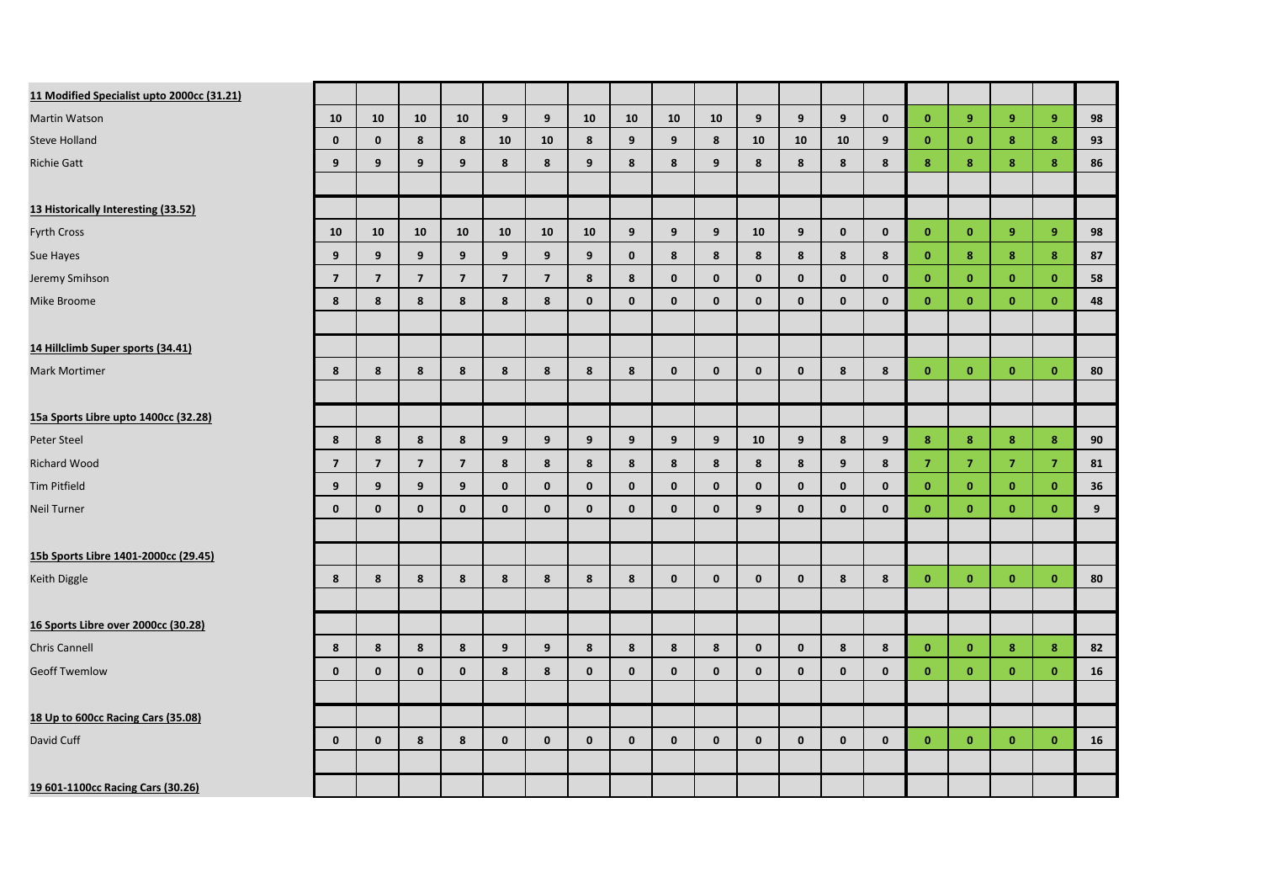| 11 Modified Specialist upto 2000cc (31.21) |                         |                         |                |                |                         |                          |              |              |              |              |              |              |              |              |                |                |                |                |    |
|--------------------------------------------|-------------------------|-------------------------|----------------|----------------|-------------------------|--------------------------|--------------|--------------|--------------|--------------|--------------|--------------|--------------|--------------|----------------|----------------|----------------|----------------|----|
| Martin Watson                              | 10                      | 10                      | 10             | 10             | 9                       | 9                        | 10           | 10           | 10           | 10           | 9            | 9            | 9            | $\mathbf{0}$ | $\mathbf{0}$   | 9              | 9              | $\overline{9}$ | 98 |
| Steve Holland                              | $\mathbf 0$             | $\mathbf 0$             | 8              | 8              | 10                      | 10                       | 8            | 9            | 9            | 8            | 10           | 10           | 10           | 9            | $\bf{0}$       | $\mathbf{0}$   | 8              | 8              | 93 |
| <b>Richie Gatt</b>                         | 9                       | 9                       | 9              | 9              | 8                       | 8                        | 9            | 8            | 8            | 9            | 8            | 8            | 8            | 8            | 8              | 8              | 8              | 8              | 86 |
|                                            |                         |                         |                |                |                         |                          |              |              |              |              |              |              |              |              |                |                |                |                |    |
| 13 Historically Interesting (33.52)        |                         |                         |                |                |                         |                          |              |              |              |              |              |              |              |              |                |                |                |                |    |
| <b>Fyrth Cross</b>                         | 10                      | 10                      | 10             | 10             | 10                      | 10                       | 10           | 9            | 9            | 9            | 10           | 9            | $\mathbf{0}$ | $\mathbf{0}$ | $\mathbf{0}$   | $\mathbf{0}$   | 9              | 9              | 98 |
| Sue Hayes                                  | 9                       | 9                       | 9              | 9              | 9                       | 9                        | 9            | $\mathbf{0}$ | 8            | 8            | 8            | 8            | 8            | 8            | $\mathbf{0}$   | 8              | 8              | 8              | 87 |
| Jeremy Smihson                             | $\overline{\mathbf{z}}$ | $\overline{\mathbf{z}}$ | $\overline{7}$ | $\overline{7}$ | $\overline{\mathbf{z}}$ | $\overline{\phantom{a}}$ | 8            | 8            | $\mathbf 0$  | $\mathbf 0$  | $\mathbf{0}$ | $\mathbf 0$  | $\mathbf 0$  | $\mathbf{0}$ | $\bf{0}$       | $\mathbf{0}$   | $\mathbf{0}$   | $\mathbf{0}$   | 58 |
| Mike Broome                                | 8                       | 8                       | 8              | 8              | 8                       | 8                        | $\mathbf 0$  | $\mathbf{0}$ | $\mathbf{0}$ | $\mathbf{0}$ | $\mathbf{0}$ | $\mathbf{0}$ | $\mathbf{0}$ | $\mathbf{0}$ | $\mathbf{0}$   | $\mathbf{0}$   | $\mathbf{0}$   | $\mathbf{0}$   | 48 |
|                                            |                         |                         |                |                |                         |                          |              |              |              |              |              |              |              |              |                |                |                |                |    |
| 14 Hillclimb Super sports (34.41)          |                         |                         |                |                |                         |                          |              |              |              |              |              |              |              |              |                |                |                |                |    |
| Mark Mortimer                              | 8                       | 8                       | 8              | 8              | 8                       | 8                        | 8            | 8            | $\mathbf 0$  | $\mathbf{0}$ | $\mathbf 0$  | $\mathbf 0$  | 8            | 8            | $\mathbf{0}$   | $\mathbf{0}$   | $\mathbf{0}$   | $\mathbf{0}$   | 80 |
|                                            |                         |                         |                |                |                         |                          |              |              |              |              |              |              |              |              |                |                |                |                |    |
| 15a Sports Libre upto 1400cc (32.28)       |                         |                         |                |                |                         |                          |              |              |              |              |              |              |              |              |                |                |                |                |    |
| Peter Steel                                | 8                       | 8                       | 8              | 8              | 9                       | 9                        | 9            | 9            | 9            | 9            | 10           | 9            | 8            | 9            | 8              | 8              | 8              | $\bf{8}$       | 90 |
| <b>Richard Wood</b>                        | $\overline{7}$          | $\overline{7}$          | $\overline{7}$ | $\overline{7}$ | 8                       | 8                        | 8            | 8            | 8            | 8            | 8            | 8            | 9            | 8            | $\overline{7}$ | $\overline{7}$ | $\overline{7}$ | $\overline{7}$ | 81 |
| Tim Pitfield                               | 9                       | 9                       | 9              | 9              | $\mathbf 0$             | $\mathbf 0$              | $\mathbf 0$  | $\mathbf 0$  | $\mathbf 0$  | $\mathbf{0}$ | $\mathbf 0$  | $\mathbf 0$  | $\mathbf{0}$ | $\mathbf 0$  | $\mathbf{0}$   | $\mathbf{0}$   | $\mathbf{0}$   | $\mathbf{0}$   | 36 |
| Neil Turner                                | $\mathbf{0}$            | $\mathbf{0}$            | $\mathbf{0}$   | $\mathbf{0}$   | $\mathbf{0}$            | $\mathbf{0}$             | $\mathbf{0}$ | $\mathbf{0}$ | $\mathbf{0}$ | $\mathbf{0}$ | 9            | $\mathbf{0}$ | $\mathbf{0}$ | $\mathbf{0}$ | $\mathbf{0}$   | $\mathbf{0}$   | $\mathbf{0}$   | $\mathbf{0}$   | 9  |
|                                            |                         |                         |                |                |                         |                          |              |              |              |              |              |              |              |              |                |                |                |                |    |
| 15b Sports Libre 1401-2000cc (29.45)       |                         |                         |                |                |                         |                          |              |              |              |              |              |              |              |              |                |                |                |                |    |
| Keith Diggle                               | 8                       | 8                       | 8              | 8              | 8                       | 8                        | 8            | 8            | $\mathbf 0$  | $\mathbf 0$  | $\mathbf 0$  | $\mathbf 0$  | 8            | 8            | $\mathbf{0}$   | $\mathbf{0}$   | $\mathbf{0}$   | $\mathbf{0}$   | 80 |
|                                            |                         |                         |                |                |                         |                          |              |              |              |              |              |              |              |              |                |                |                |                |    |
| 16 Sports Libre over 2000cc (30.28)        |                         |                         |                |                |                         |                          |              |              |              |              |              |              |              |              |                |                |                |                |    |
| Chris Cannell                              | 8                       | 8                       | 8              | 8              | 9                       | 9                        | 8            | 8            | 8            | 8            | $\mathbf{0}$ | $\mathbf{0}$ | 8            | 8            | $\mathbf{0}$   | $\mathbf{0}$   | 8              | 8              | 82 |
| <b>Geoff Twemlow</b>                       | $\mathbf{0}$            | $\mathbf 0$             | $\mathbf 0$    | $\mathbf 0$    | 8                       | 8                        | $\mathbf 0$  | $\mathbf 0$  | $\mathbf 0$  | $\mathbf 0$  | $\mathbf 0$  | $\mathbf{0}$ | $\mathbf 0$  | $\mathbf 0$  | $\bf{0}$       | $\mathbf{0}$   | $\mathbf{0}$   | $\mathbf{0}$   | 16 |
|                                            |                         |                         |                |                |                         |                          |              |              |              |              |              |              |              |              |                |                |                |                |    |
| 18 Up to 600cc Racing Cars (35.08)         |                         |                         |                |                |                         |                          |              |              |              |              |              |              |              |              |                |                |                |                |    |
| David Cuff                                 | $\mathbf{0}$            | $\mathbf{0}$            | 8              | 8              | $\mathbf 0$             | $\mathbf{0}$             | $\mathbf 0$  | $\mathbf 0$  | $\mathbf{0}$ | $\mathbf{0}$ | $\mathbf 0$  | $\mathbf{0}$ | $\mathbf{0}$ | $\mathbf{0}$ | $\mathbf{0}$   | $\mathbf{0}$   | $\mathbf{0}$   | $\mathbf{0}$   | 16 |
|                                            |                         |                         |                |                |                         |                          |              |              |              |              |              |              |              |              |                |                |                |                |    |
| 19 601-1100cc Racing Cars (30.26)          |                         |                         |                |                |                         |                          |              |              |              |              |              |              |              |              |                |                |                |                |    |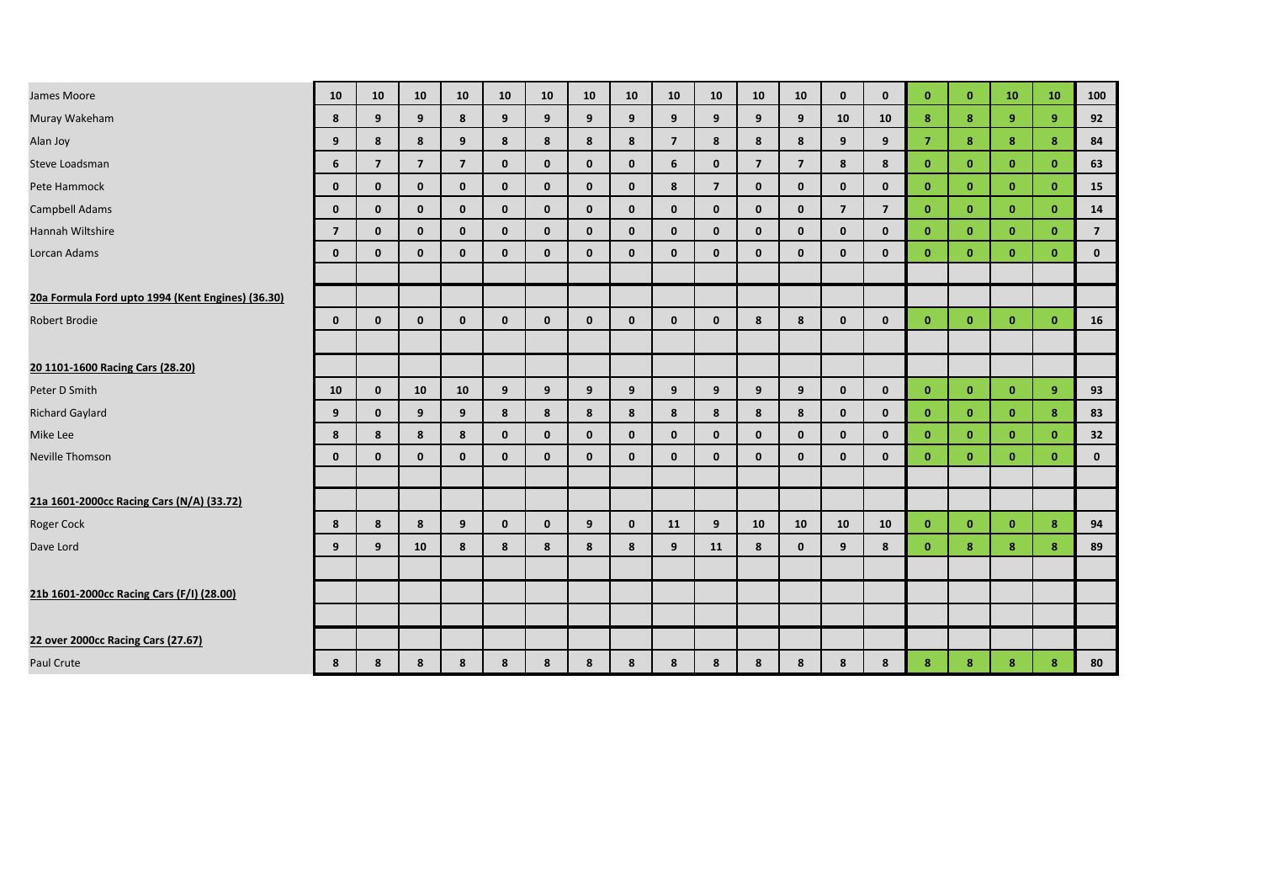| James Moore                                       | 10             | 10 <sup>°</sup> | 10             | 10             | 10           | 10           | 10           | 10           | 10             | 10             | 10             | 10             | $\mathbf{0}$   | $\mathbf{0}$   | $\mathbf{0}$   | $\mathbf{0}$ | 10           | 10             | 100            |
|---------------------------------------------------|----------------|-----------------|----------------|----------------|--------------|--------------|--------------|--------------|----------------|----------------|----------------|----------------|----------------|----------------|----------------|--------------|--------------|----------------|----------------|
| Muray Wakeham                                     | 8              | 9               | 9              | 8              | 9            | 9            | 9            | 9            | 9              | 9              | 9              | 9              | 10             | 10             | 8              | 8            | 9            | 9 <sup>°</sup> | 92             |
| Alan Joy                                          | 9              | 8               | 8              | 9              | 8            | 8            | 8            | 8            | $\overline{7}$ | 8              | 8              | 8              | 9              | 9              | $\overline{7}$ | 8            | 8            | 8              | 84             |
| Steve Loadsman                                    | 6              | $\overline{7}$  | $\overline{7}$ | $\overline{7}$ | $\mathbf{0}$ | $\mathbf{0}$ | $\mathbf 0$  | $\mathbf{0}$ | 6              | $\mathbf{0}$   | $\overline{7}$ | $\overline{7}$ | 8              | 8              | $\mathbf{0}$   | $\mathbf{0}$ | $\mathbf{0}$ | $\mathbf{0}$   | 63             |
| Pete Hammock                                      | $\mathbf{0}$   | $\mathbf{0}$    | $\mathbf 0$    | $\mathbf{0}$   | $\mathbf 0$  | $\mathbf 0$  | $\mathbf 0$  | $\mathbf 0$  | 8              | $\overline{7}$ | $\mathbf 0$    | $\mathbf{0}$   | $\mathbf{0}$   | $\mathbf 0$    | $\mathbf{0}$   | $\mathbf{0}$ | $\mathbf{0}$ | $\mathbf{0}$   | 15             |
| Campbell Adams                                    | $\mathbf{0}$   | $\mathbf{0}$    | $\mathbf{0}$   | $\mathbf{0}$   | $\mathbf{0}$ | $\mathbf{0}$ | $\mathbf{0}$ | $\mathbf{0}$ | $\mathbf{0}$   | $\mathbf{0}$   | $\mathbf{0}$   | $\mathbf{0}$   | $\overline{7}$ | $\overline{7}$ | $\mathbf{0}$   | $\mathbf{0}$ | $\mathbf{0}$ | $\mathbf{0}$   | 14             |
| Hannah Wiltshire                                  | $\overline{7}$ | $\mathbf{0}$    | $\mathbf{0}$   | $\mathbf{0}$   | $\mathbf 0$  | $\mathbf 0$  | $\mathbf 0$  | $\mathbf{0}$ | $\mathbf 0$    | $\mathbf{0}$   | $\mathbf{0}$   | $\mathbf{0}$   | $\mathbf{0}$   | $\mathbf{0}$   | $\mathbf{0}$   | $\mathbf{0}$ | $\mathbf{0}$ | $\mathbf{0}$   | $\overline{7}$ |
| Lorcan Adams                                      | $\mathbf{0}$   | $\mathbf{0}$    | $\mathbf{0}$   | $\mathbf{0}$   | $\mathbf{0}$ | $\mathbf{0}$ | $\mathbf{0}$ | $\mathbf{0}$ | $\mathbf{0}$   | $\mathbf{0}$   | $\mathbf{0}$   | $\mathbf{0}$   | $\mathbf{0}$   | $\mathbf{0}$   | $\mathbf{0}$   | $\mathbf{0}$ | $\mathbf{0}$ | $\mathbf{0}$   | $\mathbf 0$    |
|                                                   |                |                 |                |                |              |              |              |              |                |                |                |                |                |                |                |              |              |                |                |
| 20a Formula Ford upto 1994 (Kent Engines) (36.30) |                |                 |                |                |              |              |              |              |                |                |                |                |                |                |                |              |              |                |                |
| Robert Brodie                                     | $\mathbf{0}$   | $\mathbf{0}$    | $\mathbf{0}$   | $\mathbf{0}$   | $\mathbf{0}$ | $\mathbf{0}$ | $\mathbf{0}$ | $\mathbf{0}$ | $\mathbf{0}$   | $\mathbf{0}$   | 8              | 8              | $\mathbf{0}$   | $\mathbf{0}$   | $\mathbf{0}$   | $\mathbf{0}$ | $\mathbf{0}$ | $\mathbf{0}$   | 16             |
|                                                   |                |                 |                |                |              |              |              |              |                |                |                |                |                |                |                |              |              |                |                |
| 20 1101-1600 Racing Cars (28.20)                  |                |                 |                |                |              |              |              |              |                |                |                |                |                |                |                |              |              |                |                |
| Peter D Smith                                     | 10             | $\mathbf{0}$    | 10             | 10             | 9            | 9            | 9            | 9            | 9              | 9              | 9              | 9              | $\mathbf{0}$   | $\mathbf{0}$   | $\mathbf{0}$   | $\mathbf{0}$ | $\mathbf{0}$ | 9 <sup>°</sup> | 93             |
| <b>Richard Gaylard</b>                            | 9              | $\mathbf{0}$    | 9              | 9              | 8            | 8            | 8            | 8            | 8              | 8              | 8              | 8              | $\mathbf{0}$   | $\mathbf 0$    | $\mathbf{0}$   | $\mathbf{0}$ | $\mathbf{0}$ | 8              | 83             |
| Mike Lee                                          | 8              | 8               | 8              | 8              | $\mathbf{0}$ | $\mathbf{0}$ | $\mathbf{0}$ | $\mathbf{0}$ | $\mathbf{0}$   | $\mathbf{0}$   | $\mathbf{0}$   | $\mathbf{0}$   | $\mathbf{0}$   | $\mathbf{0}$   | $\mathbf{0}$   | $\mathbf{0}$ | $\mathbf{0}$ | $\mathbf{0}$   | 32             |
| <b>Neville Thomson</b>                            | $\mathbf{0}$   | $\mathbf{0}$    | $\mathbf{0}$   | $\mathbf{0}$   | $\mathbf{0}$ | $\mathbf{0}$ | $\mathbf{0}$ | $\mathbf{0}$ | $\mathbf{0}$   | $\mathbf{0}$   | $\mathbf{0}$   | $\mathbf{0}$   | $\mathbf{0}$   | $\mathbf{0}$   | $\mathbf{0}$   | $\mathbf{0}$ | $\mathbf{0}$ | $\mathbf{0}$   | $\mathbf{0}$   |
|                                                   |                |                 |                |                |              |              |              |              |                |                |                |                |                |                |                |              |              |                |                |
| 21a 1601-2000cc Racing Cars (N/A) (33.72)         |                |                 |                |                |              |              |              |              |                |                |                |                |                |                |                |              |              |                |                |
| Roger Cock                                        | 8              | 8               | 8              | 9              | $\mathbf{0}$ | $\mathbf{0}$ | 9            | $\mathbf{0}$ | 11             | 9              | 10             | 10             | 10             | 10             | $\mathbf{0}$   | $\mathbf{0}$ | $\mathbf{0}$ | 8              | 94             |
| Dave Lord                                         | 9              | 9               | 10             | 8              | 8            | 8            | 8            | 8            | 9              | 11             | 8              | $\mathbf{0}$   | 9              | 8              | $\mathbf{0}$   | 8            | 8            | 8              | 89             |
|                                                   |                |                 |                |                |              |              |              |              |                |                |                |                |                |                |                |              |              |                |                |
| 21b 1601-2000cc Racing Cars (F/I) (28.00)         |                |                 |                |                |              |              |              |              |                |                |                |                |                |                |                |              |              |                |                |
|                                                   |                |                 |                |                |              |              |              |              |                |                |                |                |                |                |                |              |              |                |                |
| 22 over 2000cc Racing Cars (27.67)                |                |                 |                |                |              |              |              |              |                |                |                |                |                |                |                |              |              |                |                |
| Paul Crute                                        | 8              | 8               | 8              | 8              | 8            | 8            | 8            | 8            | 8              | 8              | 8              | 8              | 8              | 8              | 8              | 8            | 8            | 8              | 80             |
|                                                   |                |                 |                |                |              |              |              |              |                |                |                |                |                |                |                |              |              |                |                |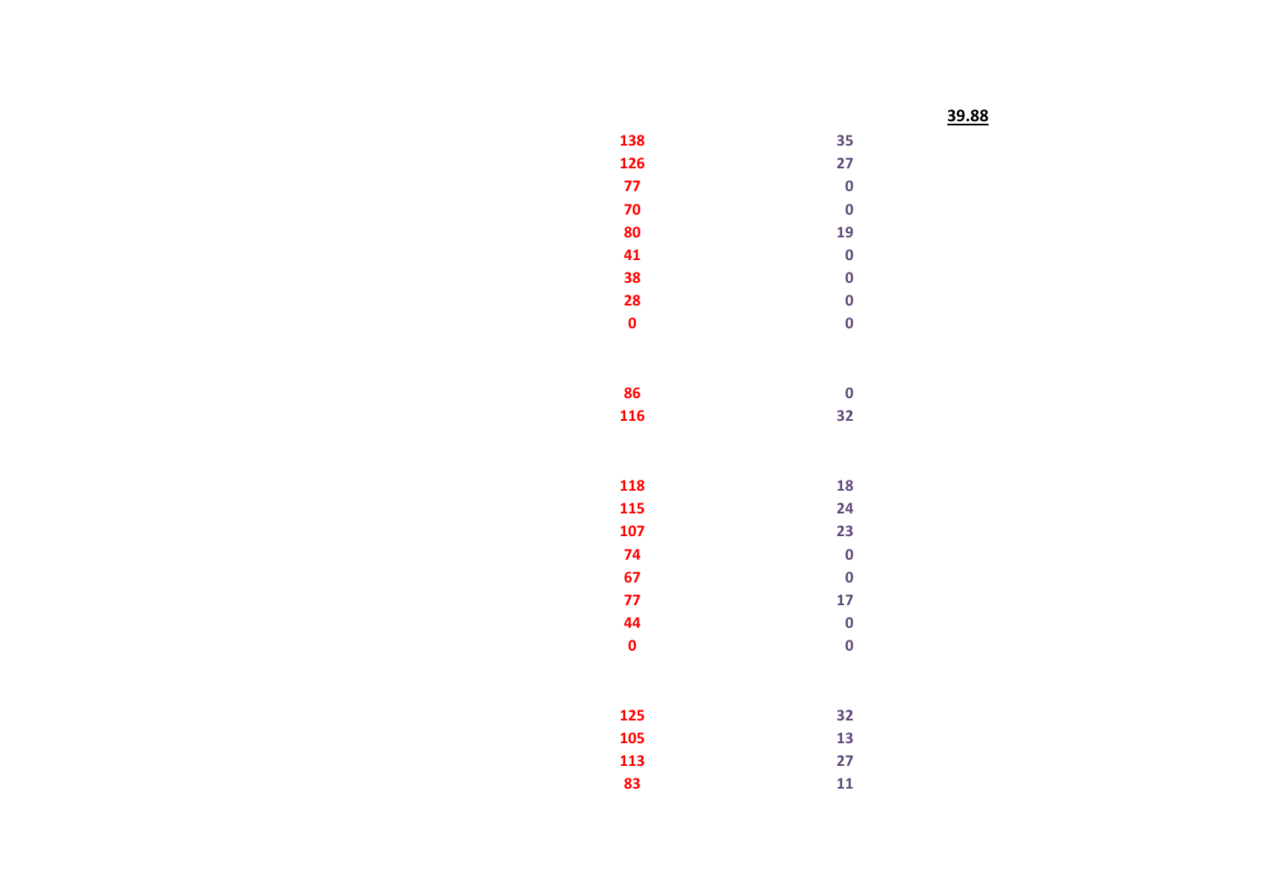**39.88**

| 138         | 35                      |
|-------------|-------------------------|
| 126         | 27                      |
| 77          | $\overline{\mathbf{0}}$ |
| 70          | $\mathbf 0$             |
| 80          | 19                      |
| 41          | $\mathbf 0$             |
| 38          | $\mathbf 0$             |
| 28          | $\mathbf 0$             |
| $\mathbf 0$ | $\overline{0}$          |
|             |                         |
|             |                         |
| 86          | $\mathbf 0$             |
| 116         | 32                      |
|             |                         |
|             |                         |
| 118         | 18                      |
| 115         | 24                      |
| 107         | 23                      |
| 74          | $\mathbf 0$             |
| 67          | $\mathbf 0$             |
| 77          | 17                      |
| 44          | $\mathbf 0$             |
| $\mathbf 0$ | $\overline{\mathbf{0}}$ |
|             |                         |
|             |                         |
| 125         | 32                      |
| 105         | 13                      |
| 113         | 27                      |
| 83          | 11                      |
|             |                         |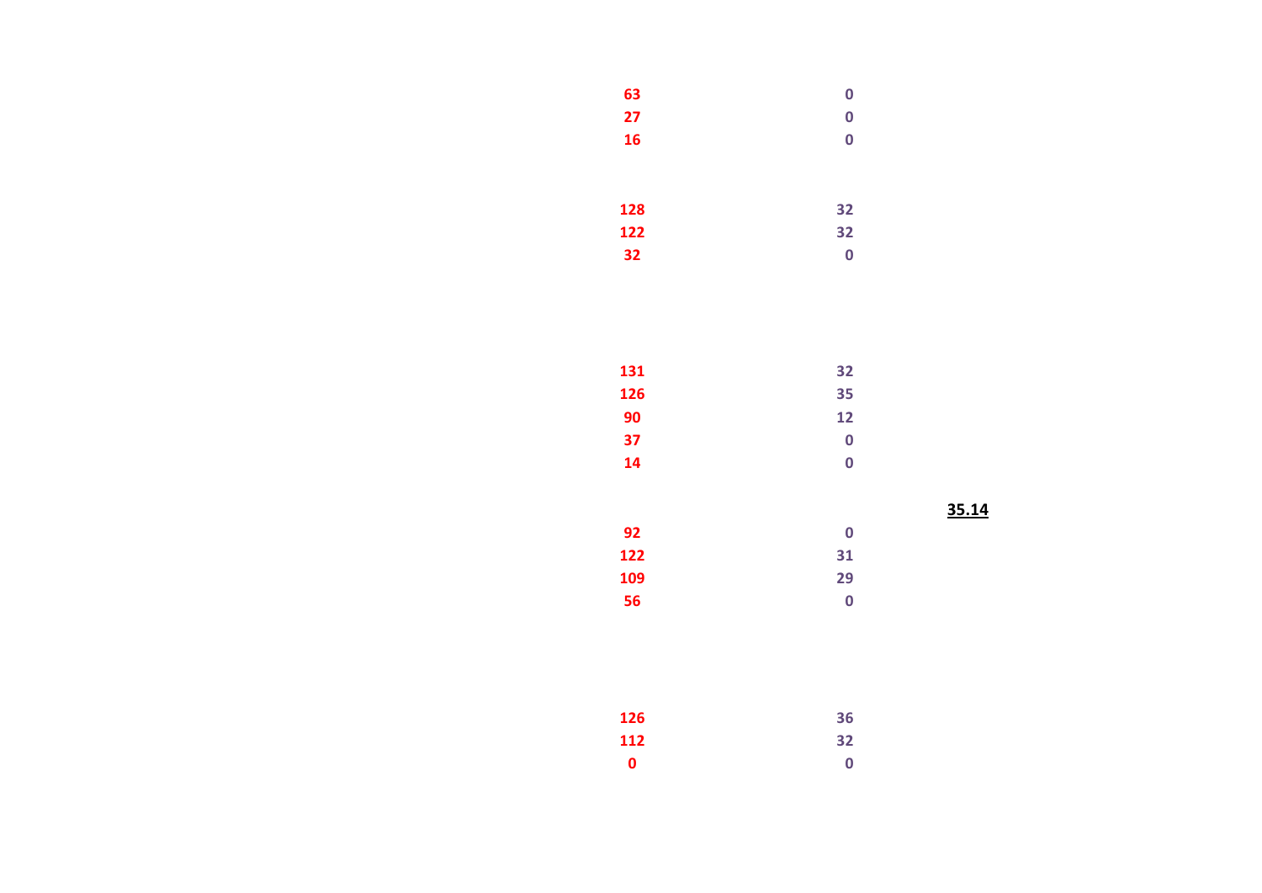| 63  | $\bf{0}$ |
|-----|----------|
| 27  | $\bf{0}$ |
| 16  | $\bf{0}$ |
|     |          |
|     |          |
| 128 | 32       |
| 122 | 32       |
| 32  | 0        |

| 32 |
|----|
| 35 |
| 12 |
| 0  |
| 0  |
|    |

 **31 29**

**36**

 **32 0**

**35.14**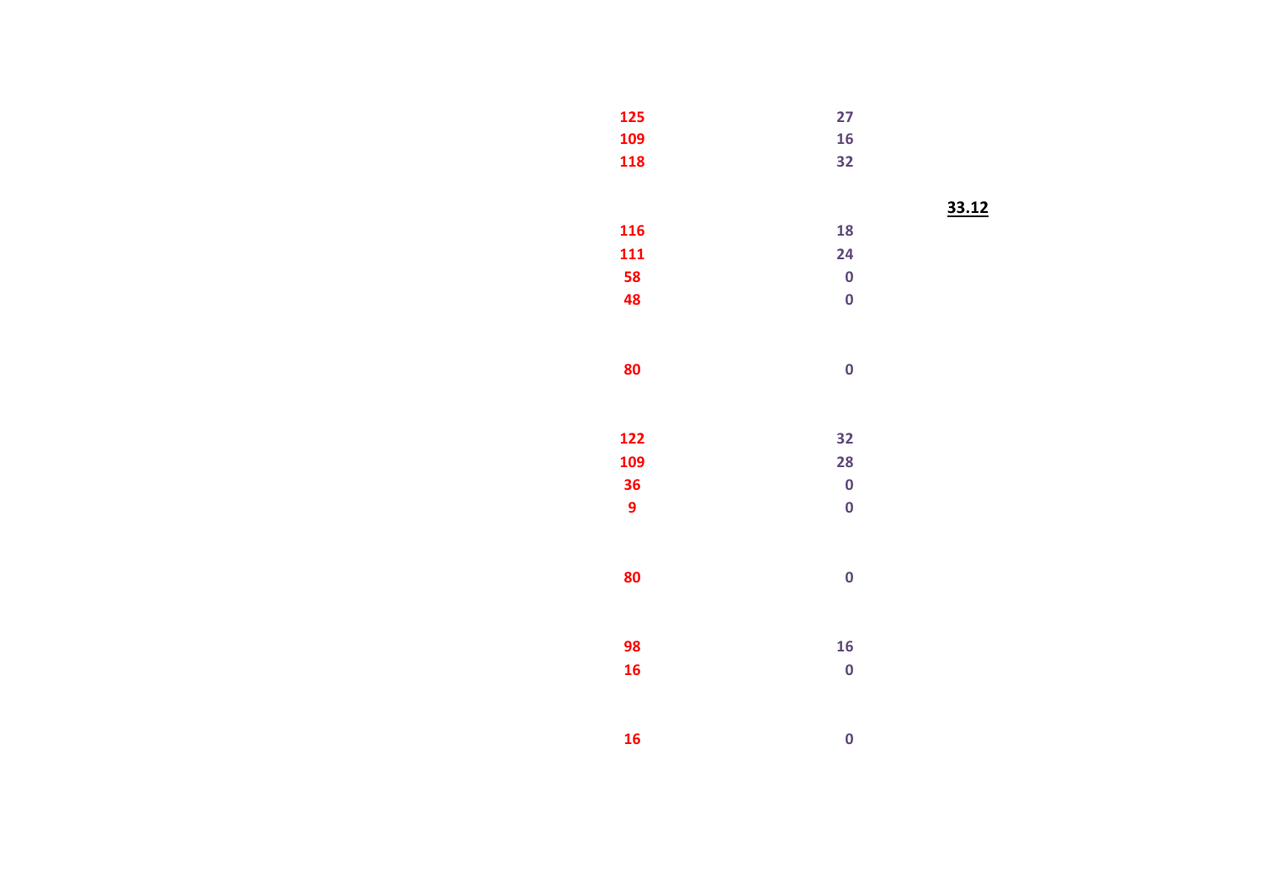| 27                      |  |
|-------------------------|--|
| 16                      |  |
| 32                      |  |
|                         |  |
|                         |  |
| 18                      |  |
| 24                      |  |
| $\bf{0}$                |  |
| $\mathbf 0$             |  |
|                         |  |
|                         |  |
| $\overline{\mathbf{0}}$ |  |
|                         |  |
|                         |  |
| 32                      |  |
| 28                      |  |
| $\bf{0}$                |  |
| $\bf{0}$                |  |
|                         |  |
|                         |  |
| $\overline{\mathbf{0}}$ |  |
|                         |  |
|                         |  |
| 16                      |  |
| $\mathbf 0$             |  |
|                         |  |
|                         |  |
| $\overline{\mathbf{0}}$ |  |
|                         |  |

**33.12**